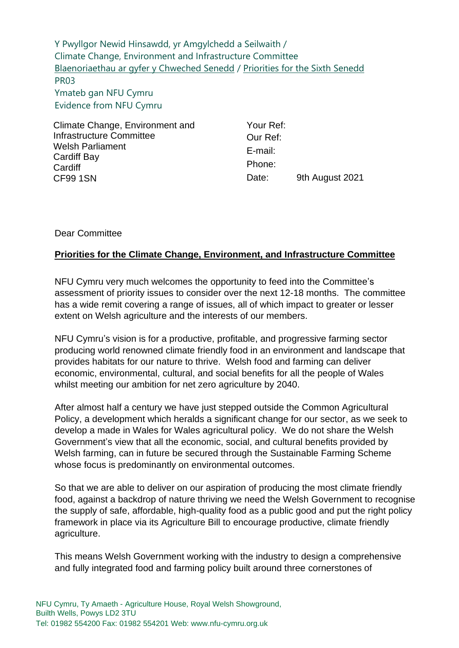Y Pwyllgor Newid Hinsawdd, yr Amgylchedd a Seilwaith / Climate Change, Environment and Infrastructure Committee [Blaenoriaethau ar gyfer y Chweched Senedd](https://busnes.senedd.cymru/mgConsultationDisplay.aspx?id=427&RPID=1026452002&cp=yes) / [Priorities for the Sixth Senedd](https://business.senedd.wales/mgConsultationDisplay.aspx?id=427&RPID=1026452002&cp=yes) PR03 Ymateb gan NFU Cymru Evidence from NFU Cymru

Climate Change, Environment and Infrastructure Committee Welsh Parliament Cardiff Bay **Cardiff** CF99 1SN

Your Ref: Our Ref: E-mail: Phone: Date: 9th August 2021

## Dear Committee

## **Priorities for the Climate Change, Environment, and Infrastructure Committee**

NFU Cymru very much welcomes the opportunity to feed into the Committee's assessment of priority issues to consider over the next 12-18 months. The committee has a wide remit covering a range of issues, all of which impact to greater or lesser extent on Welsh agriculture and the interests of our members.

NFU Cymru's vision is for a productive, profitable, and progressive farming sector producing world renowned climate friendly food in an environment and landscape that provides habitats for our nature to thrive. Welsh food and farming can deliver economic, environmental, cultural, and social benefits for all the people of Wales whilst meeting our ambition for net zero agriculture by 2040.

After almost half a century we have just stepped outside the Common Agricultural Policy, a development which heralds a significant change for our sector, as we seek to develop a made in Wales for Wales agricultural policy. We do not share the Welsh Government's view that all the economic, social, and cultural benefits provided by Welsh farming, can in future be secured through the Sustainable Farming Scheme whose focus is predominantly on environmental outcomes.

So that we are able to deliver on our aspiration of producing the most climate friendly food, against a backdrop of nature thriving we need the Welsh Government to recognise the supply of safe, affordable, high-quality food as a public good and put the right policy framework in place via its Agriculture Bill to encourage productive, climate friendly agriculture.

This means Welsh Government working with the industry to design a comprehensive and fully integrated food and farming policy built around three cornerstones of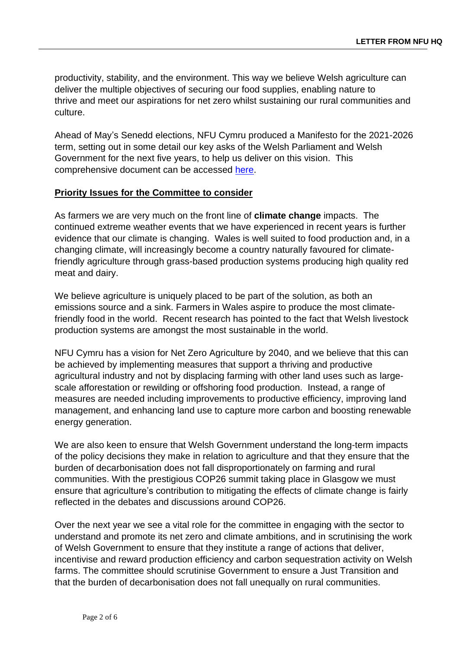productivity, stability, and the environment. This way we believe Welsh agriculture can deliver the multiple objectives of securing our food supplies, enabling nature to thrive and meet our aspirations for net zero whilst sustaining our rural communities and culture.

Ahead of May's Senedd elections, NFU Cymru produced a Manifesto for the 2021-2026 term, setting out in some detail our key asks of the Welsh Parliament and Welsh Government for the next five years, to help us deliver on this vision. This comprehensive document can be accessed [here.](https://www.nfu-cymru.org.uk/news/must-read/nfu-cymrus-welsh-parliament-elections-manifesto-2021/)

## **Priority Issues for the Committee to consider**

As farmers we are very much on the front line of **climate change** impacts. The continued extreme weather events that we have experienced in recent years is further evidence that our climate is changing. Wales is well suited to food production and, in a changing climate, will increasingly become a country naturally favoured for climatefriendly agriculture through grass-based production systems producing high quality red meat and dairy.

We believe agriculture is uniquely placed to be part of the solution, as both an emissions source and a sink. Farmers in Wales aspire to produce the most climatefriendly food in the world. Recent research has pointed to the fact that Welsh livestock production systems are amongst the most sustainable in the world.

NFU Cymru has a vision for Net Zero Agriculture by 2040, and we believe that this can be achieved by implementing measures that support a thriving and productive agricultural industry and not by displacing farming with other land uses such as largescale afforestation or rewilding or offshoring food production. Instead, a range of measures are needed including improvements to productive efficiency, improving land management, and enhancing land use to capture more carbon and boosting renewable energy generation.

We are also keen to ensure that Welsh Government understand the long-term impacts of the policy decisions they make in relation to agriculture and that they ensure that the burden of decarbonisation does not fall disproportionately on farming and rural communities. With the prestigious COP26 summit taking place in Glasgow we must ensure that agriculture's contribution to mitigating the effects of climate change is fairly reflected in the debates and discussions around COP26.

Over the next year we see a vital role for the committee in engaging with the sector to understand and promote its net zero and climate ambitions, and in scrutinising the work of Welsh Government to ensure that they institute a range of actions that deliver, incentivise and reward production efficiency and carbon sequestration activity on Welsh farms. The committee should scrutinise Government to ensure a Just Transition and that the burden of decarbonisation does not fall unequally on rural communities.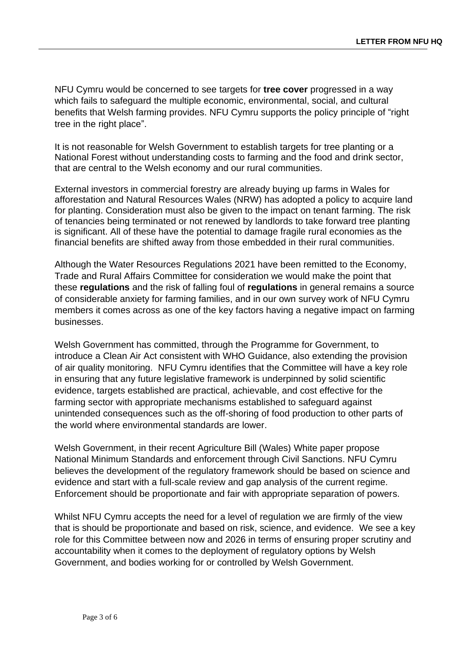NFU Cymru would be concerned to see targets for **tree cover** progressed in a way which fails to safeguard the multiple economic, environmental, social, and cultural benefits that Welsh farming provides. NFU Cymru supports the policy principle of "right tree in the right place".

It is not reasonable for Welsh Government to establish targets for tree planting or a National Forest without understanding costs to farming and the food and drink sector, that are central to the Welsh economy and our rural communities.

External investors in commercial forestry are already buying up farms in Wales for afforestation and Natural Resources Wales (NRW) has adopted a policy to acquire land for planting. Consideration must also be given to the impact on tenant farming. The risk of tenancies being terminated or not renewed by landlords to take forward tree planting is significant. All of these have the potential to damage fragile rural economies as the financial benefits are shifted away from those embedded in their rural communities.

Although the Water Resources Regulations 2021 have been remitted to the Economy, Trade and Rural Affairs Committee for consideration we would make the point that these **regulations** and the risk of falling foul of **regulations** in general remains a source of considerable anxiety for farming families, and in our own survey work of NFU Cymru members it comes across as one of the key factors having a negative impact on farming businesses.

Welsh Government has committed, through the Programme for Government, to introduce a Clean Air Act consistent with WHO Guidance, also extending the provision of air quality monitoring. NFU Cymru identifies that the Committee will have a key role in ensuring that any future legislative framework is underpinned by solid scientific evidence, targets established are practical, achievable, and cost effective for the farming sector with appropriate mechanisms established to safeguard against unintended consequences such as the off-shoring of food production to other parts of the world where environmental standards are lower.

Welsh Government, in their recent Agriculture Bill (Wales) White paper propose National Minimum Standards and enforcement through Civil Sanctions. NFU Cymru believes the development of the regulatory framework should be based on science and evidence and start with a full-scale review and gap analysis of the current regime. Enforcement should be proportionate and fair with appropriate separation of powers.

Whilst NFU Cymru accepts the need for a level of regulation we are firmly of the view that is should be proportionate and based on risk, science, and evidence. We see a key role for this Committee between now and 2026 in terms of ensuring proper scrutiny and accountability when it comes to the deployment of regulatory options by Welsh Government, and bodies working for or controlled by Welsh Government.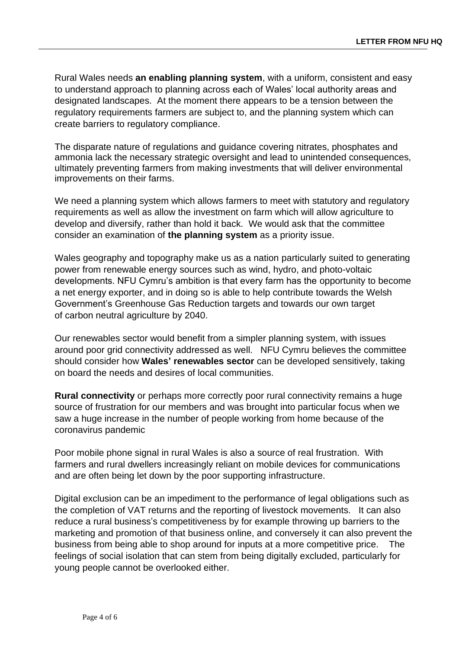Rural Wales needs **an enabling planning system**, with a uniform, consistent and easy to understand approach to planning across each of Wales' local authority areas and designated landscapes. At the moment there appears to be a tension between the regulatory requirements farmers are subject to, and the planning system which can create barriers to regulatory compliance.

The disparate nature of regulations and guidance covering nitrates, phosphates and ammonia lack the necessary strategic oversight and lead to unintended consequences, ultimately preventing farmers from making investments that will deliver environmental improvements on their farms.

We need a planning system which allows farmers to meet with statutory and regulatory requirements as well as allow the investment on farm which will allow agriculture to develop and diversify, rather than hold it back. We would ask that the committee consider an examination of **the planning system** as a priority issue.

Wales geography and topography make us as a nation particularly suited to generating power from renewable energy sources such as wind, hydro, and photo-voltaic developments. NFU Cymru's ambition is that every farm has the opportunity to become a net energy exporter, and in doing so is able to help contribute towards the Welsh Government's Greenhouse Gas Reduction targets and towards our own target of carbon neutral agriculture by 2040.

Our renewables sector would benefit from a simpler planning system, with issues around poor grid connectivity addressed as well. NFU Cymru believes the committee should consider how **Wales' renewables sector** can be developed sensitively, taking on board the needs and desires of local communities.

**Rural connectivity** or perhaps more correctly poor rural connectivity remains a huge source of frustration for our members and was brought into particular focus when we saw a huge increase in the number of people working from home because of the coronavirus pandemic

Poor mobile phone signal in rural Wales is also a source of real frustration. With farmers and rural dwellers increasingly reliant on mobile devices for communications and are often being let down by the poor supporting infrastructure.

Digital exclusion can be an impediment to the performance of legal obligations such as the completion of VAT returns and the reporting of livestock movements. It can also reduce a rural business's competitiveness by for example throwing up barriers to the marketing and promotion of that business online, and conversely it can also prevent the business from being able to shop around for inputs at a more competitive price. The feelings of social isolation that can stem from being digitally excluded, particularly for young people cannot be overlooked either.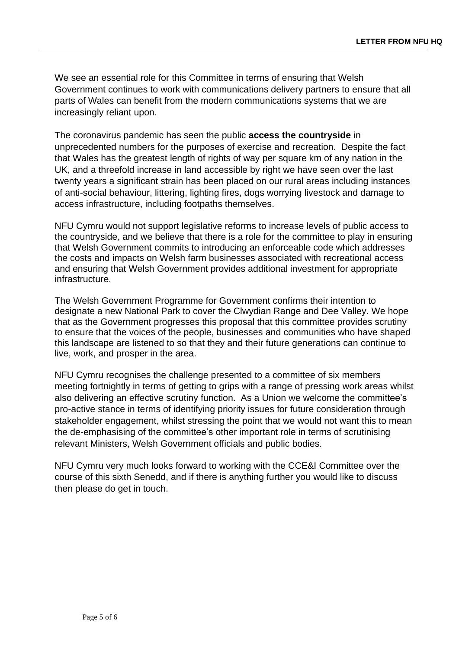We see an essential role for this Committee in terms of ensuring that Welsh Government continues to work with communications delivery partners to ensure that all parts of Wales can benefit from the modern communications systems that we are increasingly reliant upon.

The coronavirus pandemic has seen the public **access the countryside** in unprecedented numbers for the purposes of exercise and recreation. Despite the fact that Wales has the greatest length of rights of way per square km of any nation in the UK, and a threefold increase in land accessible by right we have seen over the last twenty years a significant strain has been placed on our rural areas including instances of anti-social behaviour, littering, lighting fires, dogs worrying livestock and damage to access infrastructure, including footpaths themselves.

NFU Cymru would not support legislative reforms to increase levels of public access to the countryside, and we believe that there is a role for the committee to play in ensuring that Welsh Government commits to introducing an enforceable code which addresses the costs and impacts on Welsh farm businesses associated with recreational access and ensuring that Welsh Government provides additional investment for appropriate infrastructure.

The Welsh Government Programme for Government confirms their intention to designate a new National Park to cover the Clwydian Range and Dee Valley. We hope that as the Government progresses this proposal that this committee provides scrutiny to ensure that the voices of the people, businesses and communities who have shaped this landscape are listened to so that they and their future generations can continue to live, work, and prosper in the area.

NFU Cymru recognises the challenge presented to a committee of six members meeting fortnightly in terms of getting to grips with a range of pressing work areas whilst also delivering an effective scrutiny function. As a Union we welcome the committee's pro-active stance in terms of identifying priority issues for future consideration through stakeholder engagement, whilst stressing the point that we would not want this to mean the de-emphasising of the committee's other important role in terms of scrutinising relevant Ministers, Welsh Government officials and public bodies.

NFU Cymru very much looks forward to working with the CCE&I Committee over the course of this sixth Senedd, and if there is anything further you would like to discuss then please do get in touch.